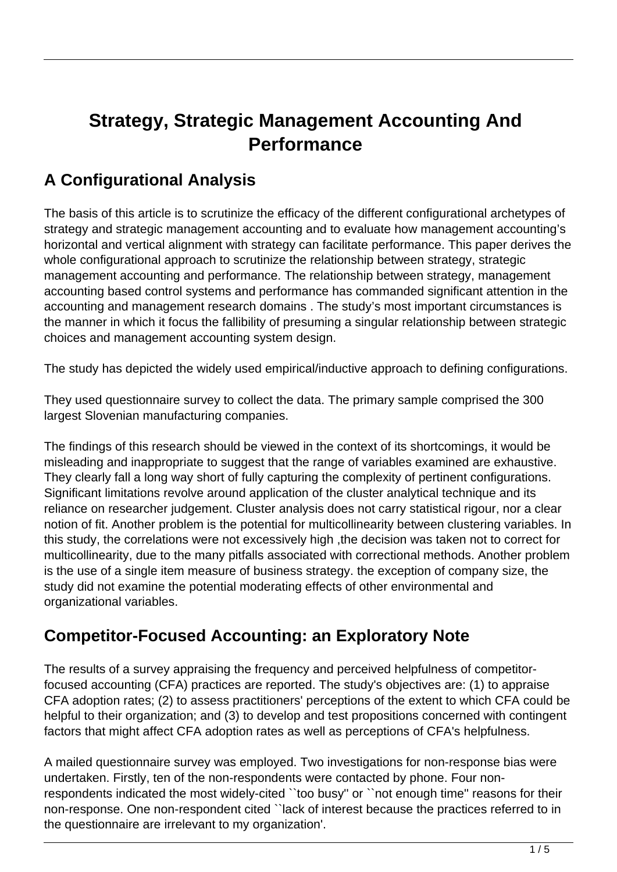# **Strategy, Strategic Management Accounting And Performance**

## **A Configurational Analysis**

The basis of this article is to scrutinize the efficacy of the different configurational archetypes of strategy and strategic management accounting and to evaluate how management accounting's horizontal and vertical alignment with strategy can facilitate performance. This paper derives the whole configurational approach to scrutinize the relationship between strategy, strategic management accounting and performance. The relationship between strategy, management accounting based control systems and performance has commanded significant attention in the accounting and management research domains . The study's most important circumstances is the manner in which it focus the fallibility of presuming a singular relationship between strategic choices and management accounting system design.

The study has depicted the widely used empirical/inductive approach to defining configurations.

They used questionnaire survey to collect the data. The primary sample comprised the 300 largest Slovenian manufacturing companies.

The findings of this research should be viewed in the context of its shortcomings, it would be misleading and inappropriate to suggest that the range of variables examined are exhaustive. They clearly fall a long way short of fully capturing the complexity of pertinent configurations. Significant limitations revolve around application of the cluster analytical technique and its reliance on researcher judgement. Cluster analysis does not carry statistical rigour, nor a clear notion of fit. Another problem is the potential for multicollinearity between clustering variables. In this study, the correlations were not excessively high ,the decision was taken not to correct for multicollinearity, due to the many pitfalls associated with correctional methods. Another problem is the use of a single item measure of business strategy. the exception of company size, the study did not examine the potential moderating effects of other environmental and organizational variables.

### **Competitor-Focused Accounting: an Exploratory Note**

The results of a survey appraising the frequency and perceived helpfulness of competitorfocused accounting (CFA) practices are reported. The study's objectives are: (1) to appraise CFA adoption rates; (2) to assess practitioners' perceptions of the extent to which CFA could be helpful to their organization; and (3) to develop and test propositions concerned with contingent factors that might affect CFA adoption rates as well as perceptions of CFA's helpfulness.

A mailed questionnaire survey was employed. Two investigations for non-response bias were undertaken. Firstly, ten of the non-respondents were contacted by phone. Four nonrespondents indicated the most widely-cited ``too busy'' or ``not enough time'' reasons for their non-response. One non-respondent cited ``lack of interest because the practices referred to in the questionnaire are irrelevant to my organization'.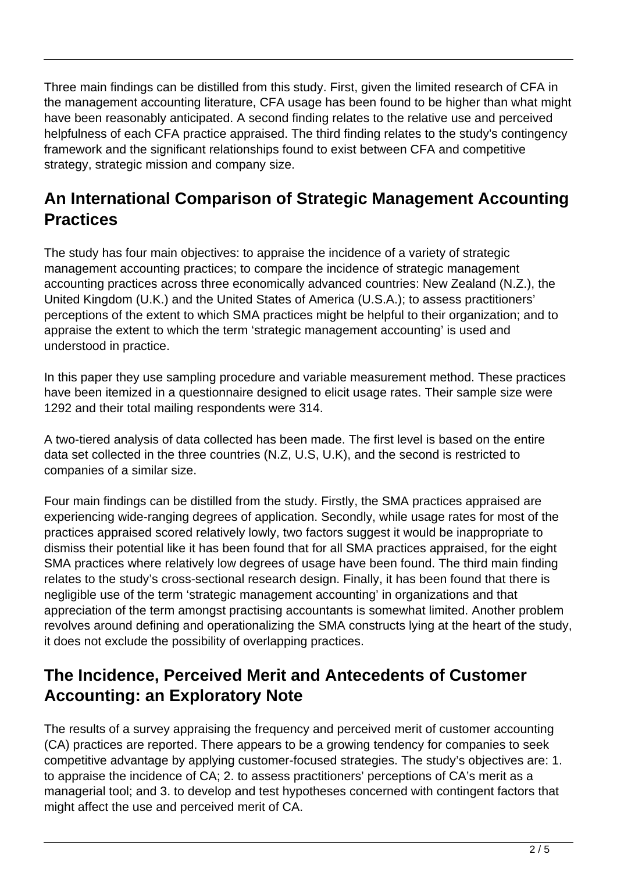Three main findings can be distilled from this study. First, given the limited research of CFA in the management accounting literature, CFA usage has been found to be higher than what might have been reasonably anticipated. A second finding relates to the relative use and perceived helpfulness of each CFA practice appraised. The third finding relates to the study's contingency framework and the significant relationships found to exist between CFA and competitive strategy, strategic mission and company size.

#### **An International Comparison of Strategic Management Accounting Practices**

The study has four main objectives: to appraise the incidence of a variety of strategic management accounting practices; to compare the incidence of strategic management accounting practices across three economically advanced countries: New Zealand (N.Z.), the United Kingdom (U.K.) and the United States of America (U.S.A.); to assess practitioners' perceptions of the extent to which SMA practices might be helpful to their organization; and to appraise the extent to which the term 'strategic management accounting' is used and understood in practice.

In this paper they use sampling procedure and variable measurement method. These practices have been itemized in a questionnaire designed to elicit usage rates. Their sample size were 1292 and their total mailing respondents were 314.

A two-tiered analysis of data collected has been made. The first level is based on the entire data set collected in the three countries (N.Z, U.S, U.K), and the second is restricted to companies of a similar size.

Four main findings can be distilled from the study. Firstly, the SMA practices appraised are experiencing wide-ranging degrees of application. Secondly, while usage rates for most of the practices appraised scored relatively lowly, two factors suggest it would be inappropriate to dismiss their potential like it has been found that for all SMA practices appraised, for the eight SMA practices where relatively low degrees of usage have been found. The third main finding relates to the study's cross-sectional research design. Finally, it has been found that there is negligible use of the term 'strategic management accounting' in organizations and that appreciation of the term amongst practising accountants is somewhat limited. Another problem revolves around defining and operationalizing the SMA constructs lying at the heart of the study, it does not exclude the possibility of overlapping practices.

### **The Incidence, Perceived Merit and Antecedents of Customer Accounting: an Exploratory Note**

The results of a survey appraising the frequency and perceived merit of customer accounting (CA) practices are reported. There appears to be a growing tendency for companies to seek competitive advantage by applying customer-focused strategies. The study's objectives are: 1. to appraise the incidence of CA; 2. to assess practitioners' perceptions of CA's merit as a managerial tool; and 3. to develop and test hypotheses concerned with contingent factors that might affect the use and perceived merit of CA.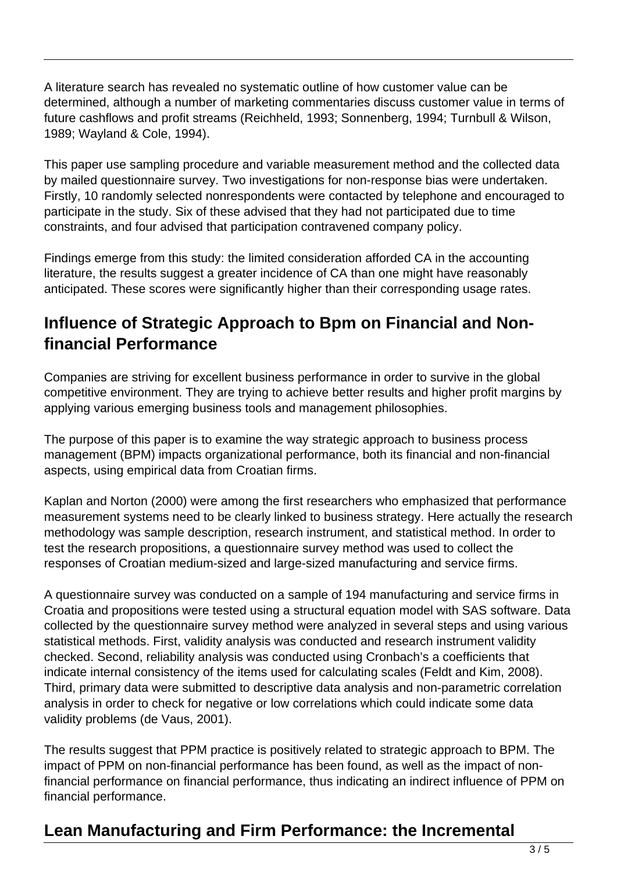A literature search has revealed no systematic outline of how customer value can be determined, although a number of marketing commentaries discuss customer value in terms of future cashflows and profit streams (Reichheld, 1993; Sonnenberg, 1994; Turnbull & Wilson, 1989; Wayland & Cole, 1994).

This paper use sampling procedure and variable measurement method and the collected data by mailed questionnaire survey. Two investigations for non-response bias were undertaken. Firstly, 10 randomly selected nonrespondents were contacted by telephone and encouraged to participate in the study. Six of these advised that they had not participated due to time constraints, and four advised that participation contravened company policy.

Findings emerge from this study: the limited consideration afforded CA in the accounting literature, the results suggest a greater incidence of CA than one might have reasonably anticipated. These scores were significantly higher than their corresponding usage rates.

#### **Influence of Strategic Approach to Bpm on Financial and Nonfinancial Performance**

Companies are striving for excellent business performance in order to survive in the global competitive environment. They are trying to achieve better results and higher profit margins by applying various emerging business tools and management philosophies.

The purpose of this paper is to examine the way strategic approach to business process management (BPM) impacts organizational performance, both its financial and non-financial aspects, using empirical data from Croatian firms.

Kaplan and Norton (2000) were among the first researchers who emphasized that performance measurement systems need to be clearly linked to business strategy. Here actually the research methodology was sample description, research instrument, and statistical method. In order to test the research propositions, a questionnaire survey method was used to collect the responses of Croatian medium-sized and large-sized manufacturing and service firms.

A questionnaire survey was conducted on a sample of 194 manufacturing and service firms in Croatia and propositions were tested using a structural equation model with SAS software. Data collected by the questionnaire survey method were analyzed in several steps and using various statistical methods. First, validity analysis was conducted and research instrument validity checked. Second, reliability analysis was conducted using Cronbach's a coefficients that indicate internal consistency of the items used for calculating scales (Feldt and Kim, 2008). Third, primary data were submitted to descriptive data analysis and non-parametric correlation analysis in order to check for negative or low correlations which could indicate some data validity problems (de Vaus, 2001).

The results suggest that PPM practice is positively related to strategic approach to BPM. The impact of PPM on non-financial performance has been found, as well as the impact of nonfinancial performance on financial performance, thus indicating an indirect influence of PPM on financial performance.

### **Lean Manufacturing and Firm Performance: the Incremental**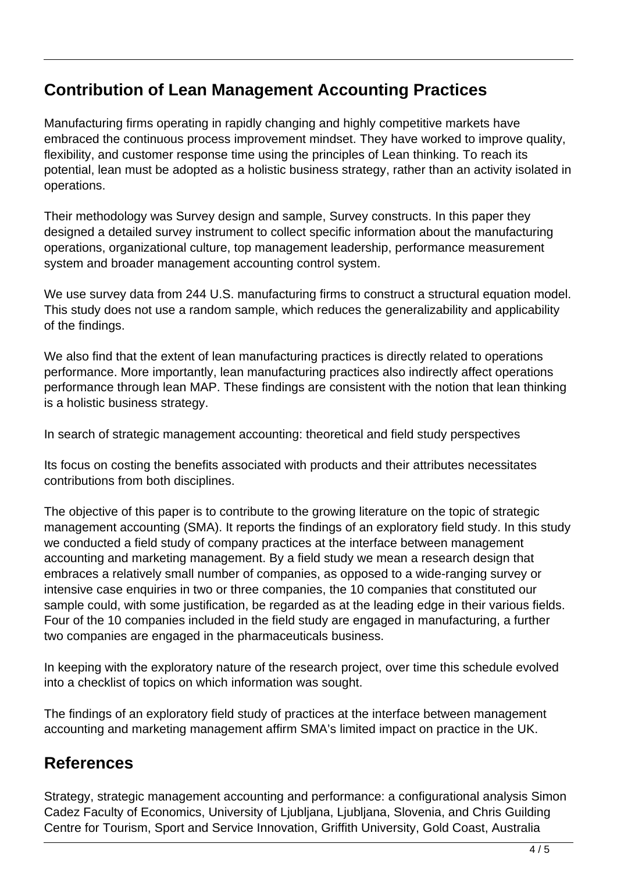#### **Contribution of Lean Management Accounting Practices**

Manufacturing firms operating in rapidly changing and highly competitive markets have embraced the continuous process improvement mindset. They have worked to improve quality, flexibility, and customer response time using the principles of Lean thinking. To reach its potential, lean must be adopted as a holistic business strategy, rather than an activity isolated in operations.

Their methodology was Survey design and sample, Survey constructs. In this paper they designed a detailed survey instrument to collect specific information about the manufacturing operations, organizational culture, top management leadership, performance measurement system and broader management accounting control system.

We use survey data from 244 U.S. manufacturing firms to construct a structural equation model. This study does not use a random sample, which reduces the generalizability and applicability of the findings.

We also find that the extent of lean manufacturing practices is directly related to operations performance. More importantly, lean manufacturing practices also indirectly affect operations performance through lean MAP. These findings are consistent with the notion that lean thinking is a holistic business strategy.

In search of strategic management accounting: theoretical and field study perspectives

Its focus on costing the benefits associated with products and their attributes necessitates contributions from both disciplines.

The objective of this paper is to contribute to the growing literature on the topic of strategic management accounting (SMA). It reports the findings of an exploratory field study. In this study we conducted a field study of company practices at the interface between management accounting and marketing management. By a field study we mean a research design that embraces a relatively small number of companies, as opposed to a wide-ranging survey or intensive case enquiries in two or three companies, the 10 companies that constituted our sample could, with some justification, be regarded as at the leading edge in their various fields. Four of the 10 companies included in the field study are engaged in manufacturing, a further two companies are engaged in the pharmaceuticals business.

In keeping with the exploratory nature of the research project, over time this schedule evolved into a checklist of topics on which information was sought.

The findings of an exploratory field study of practices at the interface between management accounting and marketing management affirm SMA's limited impact on practice in the UK.

#### **References**

Strategy, strategic management accounting and performance: a configurational analysis Simon Cadez Faculty of Economics, University of Ljubljana, Ljubljana, Slovenia, and Chris Guilding Centre for Tourism, Sport and Service Innovation, Griffith University, Gold Coast, Australia